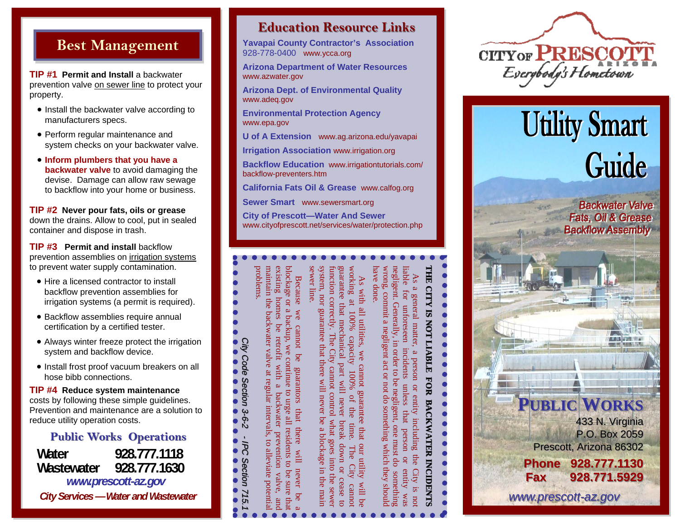# **Best Management**

**TIP #1 Permit and Install** a backwater prevention valve on sewer line to protect your property.

- Install the backwater valve according to manufacturers specs.
- Perform regular maintenance and system checks on your backwater valve.
- **Inform plumbers that you have a backwater valve** to avoid damaging the devise. Damage can allow raw sewage to backflow into your home or business.

**TIP #2 Never pour fats, oils or grease**  down the drains. Allow to cool, put in sealed container and dispose in trash.

**TIP #3 Permit and install backflow** prevention assemblies on irrigation systems to prevent water supply contamination.

- Hire a licensed contractor to install backflow prevention assemblies for irrigation systems (a permit is required).
- Backflow assemblies require annual certification by a certified tester.
- Always winter freeze protect the irrigation system and backflow device.
- Install frost proof vacuum breakers on all hose bibb connections.

**TIP #4 Reduce system maintenance**  costs by following these simple guidelines. Prevention and maintenance are a solution to reduce utility operation costs.

#### **Public Works Operations**

**Water 928.777.1118 Wastewater 928.777.1630** *www.prescott-az.gov City Services — Water and Wastewater* 

## **Education Resource Links Education Resource Links**

**Yavapai County Contractor's Association**  928-778-0400 www.ycca.org

**Arizona Department of Water Resources**  www.azwater.gov

**Arizona Dept. of Environmental Quality**  www.adeq.gov

**Environmental Protection Agency**  www.epa.gov

**U of A Extension** www.ag.arizona.edu/yavapai

**Irrigation Association** www.irrigation.org

**Backflow Education** www.irrigationtutorials.com/ backflow-preventers.htm

**California Fats Oil & Grease** www.calfog.org

**Sewer Smart** www.sewersmart.org

maintain the backwater valve at regula

maintain the backwater valve

 $\mbox{existing}$ 

**Because** 

we

cannot

 $\mathsf{p}$ e

guarantors that

there

 $II^{IM}$ 

never be

problems.

*City Code Section 3-6-2* 

**3-6-2** 

Code Section

*2 - IPC Section 715.1 IPC Section 715.1* 

715

**IPC Section** 

existing homes be retrofit with a backwater prevention valve, and blockage or a backup, we continue to urge all residents to be sure that Because we cannot be guarantors that there will never be a

backwater prevention valve,

homes be retrofit with a

blockage or a backup, we continue to urge all residents to be sure that

r intervals, to alleviate potential

alleviate

potent

 $\sigma$ 

at regular intervals,

**City of Prescott—Water And Sewer** www.cityofprescott.net/services/water/protection.php

As with al

Il utilities, we

guarantee that mechanical part w

working at 100%

system, nor guarantee that there<br>sewer line.

system, nor guarantee that there will never be a blockage in the main function correctly. The City cannot control what goes into the sewer

will never be

 $\omega$ 

blockage in the mair

innetion correctly. The City cannot control what goes into the sewer guarantee that mechanical part will never break down or cease to working at 100% capacity 100% of the time. The City cannot As with all utilities, we cannot guarantee that our utility will be

of the

time.

The City

cannot

100%

cannot guarantee that our utility will be

capacity

ill never break down or cease to

**THE CITY IS NOT LIABLE FOR BACKWATER INCIDENTS** 目目 CITY IS NOT LIABLE FOR BACKWATER INCIDENTS

As a general matter, a person or entity including the City is not wrong, commit a negligent act or not do something which they should negligent. Generally, in order to be negligent, one must do something liable for unforeseen incidents unless that person or entity was negligent. Generally, in order to be negligent, one must do something wrong, commit a<br>nave done. iable for unforeseen As a general matter, a person or entity including negligent act or not do incidents unless that person or entity something which they should the City is no sem



# **Utility Smart** Guide

**PUBLIC WORKS**

Prescott, Arizona 86302

**Phone 928.777.1130 Phone 928.777.1130Fax 928.771.5929 Fax 928.771.5929**

*www.prescott www.prescott-az.gov*

433 N. Virginia P.O. Box 2059

 $A \cap B$  and  $B$ 

**Backwater Valve** Fats, Oil & Grease **Backflow Assembly**